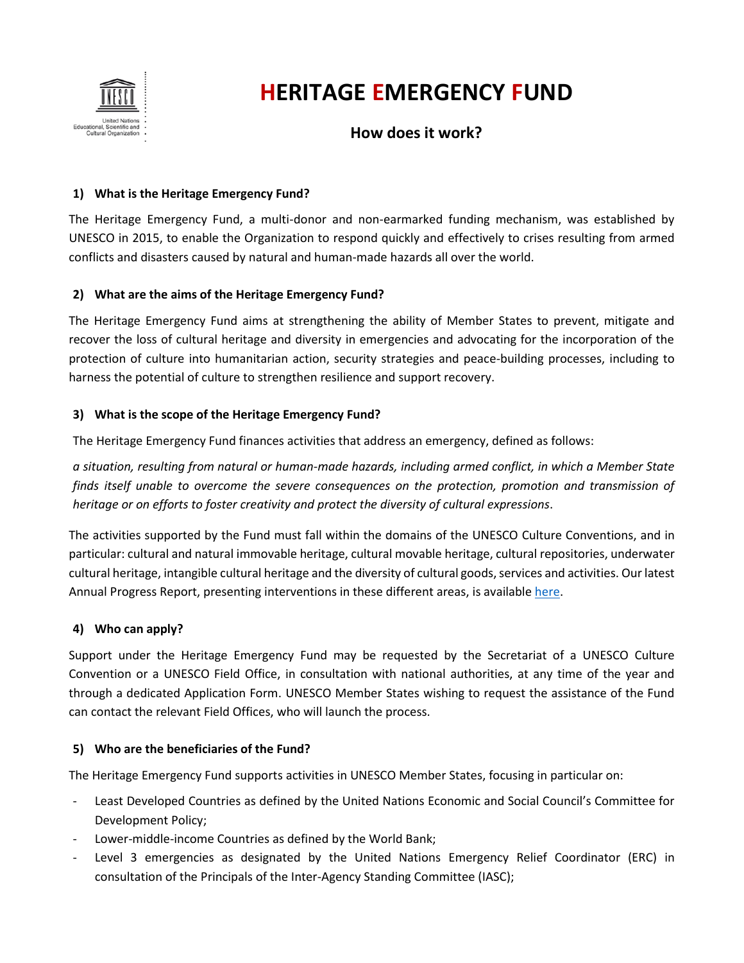

# **HERITAGE EMERGENCY FUND**

# **How does it work?**

### **1) What is the Heritage Emergency Fund?**

The Heritage Emergency Fund, a multi-donor and non-earmarked funding mechanism, was established by UNESCO in 2015, to enable the Organization to respond quickly and effectively to crises resulting from armed conflicts and disasters caused by natural and human-made hazards all over the world.

## **2) What are the aims of the Heritage Emergency Fund?**

The Heritage Emergency Fund aims at strengthening the ability of Member States to prevent, mitigate and recover the loss of cultural heritage and diversity in emergencies and advocating for the incorporation of the protection of culture into humanitarian action, security strategies and peace-building processes, including to harness the potential of culture to strengthen resilience and support recovery.

### **3) What is the scope of the Heritage Emergency Fund?**

The Heritage Emergency Fund finances activities that address an emergency, defined as follows:

*a situation, resulting from natural or human-made hazards, including armed conflict, in which a Member State finds itself unable to overcome the severe consequences on the protection, promotion and transmission of heritage or on efforts to foster creativity and protect the diversity of cultural expressions*.

The activities supported by the Fund must fall within the domains of the UNESCO Culture Conventions, and in particular: cultural and natural immovable heritage, cultural movable heritage, cultural repositories, underwater cultural heritage, intangible cultural heritage and the diversity of cultural goods, services and activities. Our latest Annual Progress Report, presenting interventions in these different areas, is available [here.](../../../../../02%20-%20Key%20documents/11%20-%20Latest%20Annual%20Progress%20Report/HEF_2017%20Report_EN.pdf)

### **4) Who can apply?**

Support under the Heritage Emergency Fund may be requested by the Secretariat of a UNESCO Culture Convention or a UNESCO Field Office, in consultation with national authorities, at any time of the year and through a dedicated Application Form. UNESCO Member States wishing to request the assistance of the Fund can contact the relevant Field Offices, who will launch the process.

### **5) Who are the beneficiaries of the Fund?**

The Heritage Emergency Fund supports activities in UNESCO Member States, focusing in particular on:

- Least Developed Countries as defined by the United Nations Economic and Social Council's Committee for Development Policy;
- Lower-middle-income Countries as defined by the World Bank;
- Level 3 emergencies as designated by the United Nations Emergency Relief Coordinator (ERC) in consultation of the Principals of the Inter-Agency Standing Committee (IASC);